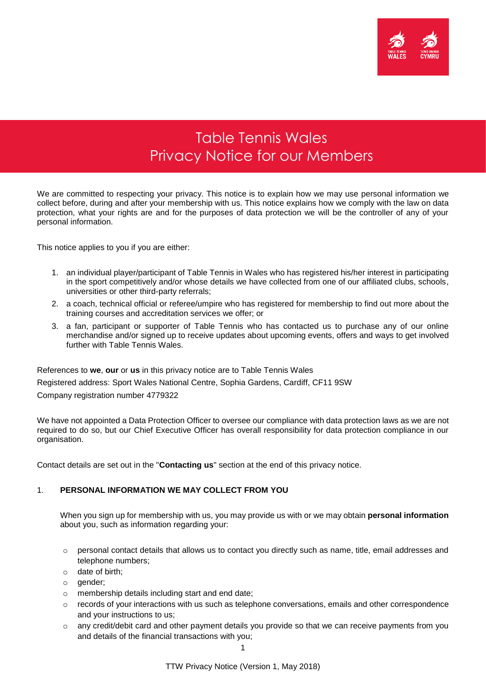

# Table Tennis Wales Privacy Notice for our Members

We are committed to respecting your privacy. This notice is to explain how we may use personal information we collect before, during and after your membership with us. This notice explains how we comply with the law on data protection, what your rights are and for the purposes of data protection we will be the controller of any of your personal information.

This notice applies to you if you are either:

- 1. an individual player/participant of Table Tennis in Wales who has registered his/her interest in participating in the sport competitively and/or whose details we have collected from one of our affiliated clubs, schools, universities or other third-party referrals;
- 2. a coach, technical official or referee/umpire who has registered for membership to find out more about the training courses and accreditation services we offer; or
- 3. a fan, participant or supporter of Table Tennis who has contacted us to purchase any of our online merchandise and/or signed up to receive updates about upcoming events, offers and ways to get involved further with Table Tennis Wales.

References to **we**, **our** or **us** in this privacy notice are to Table Tennis Wales Registered address: Sport Wales National Centre, Sophia Gardens, Cardiff, CF11 9SW Company registration number 4779322

We have not appointed a Data Protection Officer to oversee our compliance with data protection laws as we are not required to do so, but our Chief Executive Officer has overall responsibility for data protection compliance in our organisation.

Contact details are set out in the "**Contacting us**" section at the end of this privacy notice.

## 1. **PERSONAL INFORMATION WE MAY COLLECT FROM YOU**

When you sign up for membership with us, you may provide us with or we may obtain **personal information**  about you, such as information regarding your:

- $\circ$  personal contact details that allows us to contact you directly such as name, title, email addresses and telephone numbers;
- o date of birth;
- o gender;
- o membership details including start and end date;
- $\circ$  records of your interactions with us such as telephone conversations, emails and other correspondence and your instructions to us;
- o any credit/debit card and other payment details you provide so that we can receive payments from you and details of the financial transactions with you;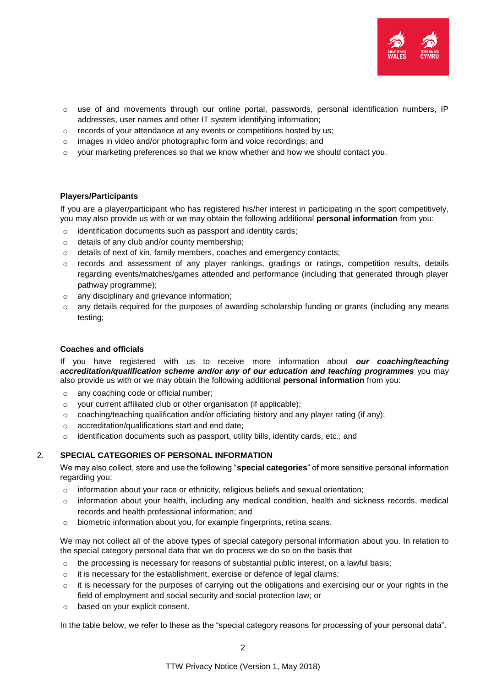

- $\circ$  use of and movements through our online portal, passwords, personal identification numbers, IP addresses, user names and other IT system identifying information;
- o records of your attendance at any events or competitions hosted by us;
- o images in video and/or photographic form and voice recordings; and
- $\circ$  your marketing preferences so that we know whether and how we should contact you.

## **Players/Participants**

If you are a player/participant who has registered his/her interest in participating in the sport competitively, you may also provide us with or we may obtain the following additional **personal information** from you:

- o identification documents such as passport and identity cards;
- o details of any club and/or county membership;
- o details of next of kin, family members, coaches and emergency contacts;
- o records and assessment of any player rankings, gradings or ratings, competition results, details regarding events/matches/games attended and performance (including that generated through player pathway programme);
- o any disciplinary and grievance information;
- o any details required for the purposes of awarding scholarship funding or grants (including any means testing;

## **Coaches and officials**

If you have registered with us to receive more information about *our coaching/teaching accreditation/qualification scheme and/or any of our education and teaching programmes* you may also provide us with or we may obtain the following additional **personal information** from you:

- o any coaching code or official number;
- o your current affiliated club or other organisation (if applicable);
- $\circ$  coaching/teaching qualification and/or officiating history and any player rating (if any);
- o accreditation/qualifications start and end date;
- $\circ$  identification documents such as passport, utility bills, identity cards, etc.; and

## 2. **SPECIAL CATEGORIES OF PERSONAL INFORMATION**

We may also collect, store and use the following "**special categories**" of more sensitive personal information regarding you:

- $\circ$  information about your race or ethnicity, religious beliefs and sexual orientation;
- $\circ$  information about your health, including any medical condition, health and sickness records, medical records and health professional information; and
- o biometric information about you, for example fingerprints, retina scans.

We may not collect all of the above types of special category personal information about you. In relation to the special category personal data that we do process we do so on the basis that

- $\circ$  the processing is necessary for reasons of substantial public interest, on a lawful basis;
- o it is necessary for the establishment, exercise or defence of legal claims;
- $\circ$  it is necessary for the purposes of carrying out the obligations and exercising our or your rights in the field of employment and social security and social protection law; or
- o based on your explicit consent.

In the table below, we refer to these as the "special category reasons for processing of your personal data".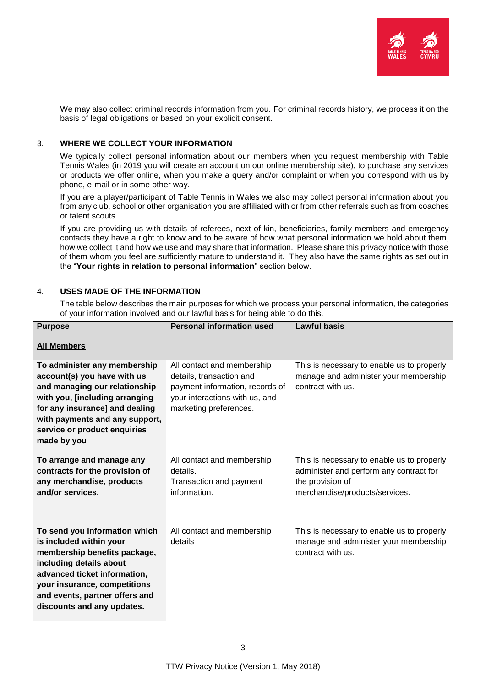

We may also collect criminal records information from you. For criminal records history, we process it on the basis of legal obligations or based on your explicit consent.

## 3. **WHERE WE COLLECT YOUR INFORMATION**

We typically collect personal information about our members when you request membership with Table Tennis Wales (in 2019 you will create an account on our online membership site), to purchase any services or products we offer online, when you make a query and/or complaint or when you correspond with us by phone, e-mail or in some other way.

If you are a player/participant of Table Tennis in Wales we also may collect personal information about you from any club, school or other organisation you are affiliated with or from other referrals such as from coaches or talent scouts.

If you are providing us with details of referees, next of kin, beneficiaries, family members and emergency contacts they have a right to know and to be aware of how what personal information we hold about them, how we collect it and how we use and may share that information. Please share this privacy notice with those of them whom you feel are sufficiently mature to understand it. They also have the same rights as set out in the "**Your rights in relation to personal information**" section below.

## 4. **USES MADE OF THE INFORMATION**

The table below describes the main purposes for which we process your personal information, the categories of your information involved and our lawful basis for being able to do this.

| <b>Purpose</b>                                                                                                                                                                                                                                      | <b>Personal information used</b>                                                  | <b>Lawful basis</b>                                                                                                                         |  |  |
|-----------------------------------------------------------------------------------------------------------------------------------------------------------------------------------------------------------------------------------------------------|-----------------------------------------------------------------------------------|---------------------------------------------------------------------------------------------------------------------------------------------|--|--|
| <b>All Members</b>                                                                                                                                                                                                                                  |                                                                                   |                                                                                                                                             |  |  |
| To administer any membership                                                                                                                                                                                                                        | All contact and membership                                                        | This is necessary to enable us to properly                                                                                                  |  |  |
| account(s) you have with us                                                                                                                                                                                                                         | details, transaction and                                                          | manage and administer your membership                                                                                                       |  |  |
| and managing our relationship                                                                                                                                                                                                                       | payment information, records of                                                   | contract with us.                                                                                                                           |  |  |
| with you, [including arranging                                                                                                                                                                                                                      | your interactions with us, and                                                    |                                                                                                                                             |  |  |
| for any insurance] and dealing                                                                                                                                                                                                                      | marketing preferences.                                                            |                                                                                                                                             |  |  |
| with payments and any support,                                                                                                                                                                                                                      |                                                                                   |                                                                                                                                             |  |  |
| service or product enquiries                                                                                                                                                                                                                        |                                                                                   |                                                                                                                                             |  |  |
| made by you                                                                                                                                                                                                                                         |                                                                                   |                                                                                                                                             |  |  |
| To arrange and manage any<br>contracts for the provision of<br>any merchandise, products<br>and/or services.                                                                                                                                        | All contact and membership<br>details.<br>Transaction and payment<br>information. | This is necessary to enable us to properly<br>administer and perform any contract for<br>the provision of<br>merchandise/products/services. |  |  |
|                                                                                                                                                                                                                                                     |                                                                                   |                                                                                                                                             |  |  |
| To send you information which<br>is included within your<br>membership benefits package,<br>including details about<br>advanced ticket information,<br>your insurance, competitions<br>and events, partner offers and<br>discounts and any updates. | All contact and membership<br>details                                             | This is necessary to enable us to properly<br>manage and administer your membership<br>contract with us.                                    |  |  |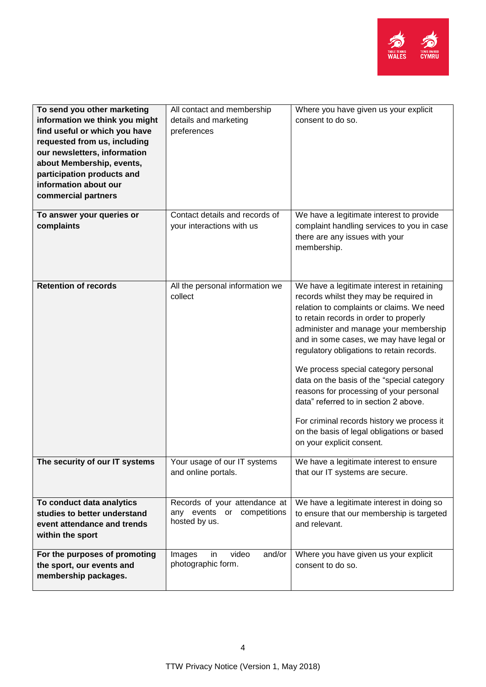

| To send you other marketing<br>information we think you might<br>find useful or which you have<br>requested from us, including<br>our newsletters, information<br>about Membership, events,<br>participation products and<br>information about our<br>commercial partners | All contact and membership<br>details and marketing<br>preferences           | Where you have given us your explicit<br>consent to do so.                                                                                                                                                                                                                                                                                                                                                                                                                                                                                                                                                      |
|---------------------------------------------------------------------------------------------------------------------------------------------------------------------------------------------------------------------------------------------------------------------------|------------------------------------------------------------------------------|-----------------------------------------------------------------------------------------------------------------------------------------------------------------------------------------------------------------------------------------------------------------------------------------------------------------------------------------------------------------------------------------------------------------------------------------------------------------------------------------------------------------------------------------------------------------------------------------------------------------|
| To answer your queries or<br>complaints                                                                                                                                                                                                                                   | Contact details and records of<br>your interactions with us                  | We have a legitimate interest to provide<br>complaint handling services to you in case<br>there are any issues with your<br>membership.                                                                                                                                                                                                                                                                                                                                                                                                                                                                         |
| <b>Retention of records</b>                                                                                                                                                                                                                                               | All the personal information we<br>collect                                   | We have a legitimate interest in retaining<br>records whilst they may be required in<br>relation to complaints or claims. We need<br>to retain records in order to properly<br>administer and manage your membership<br>and in some cases, we may have legal or<br>regulatory obligations to retain records.<br>We process special category personal<br>data on the basis of the "special category<br>reasons for processing of your personal<br>data" referred to in section 2 above.<br>For criminal records history we process it<br>on the basis of legal obligations or based<br>on your explicit consent. |
| The security of our IT systems                                                                                                                                                                                                                                            | Your usage of our IT systems<br>and online portals.                          | We have a legitimate interest to ensure<br>that our IT systems are secure.                                                                                                                                                                                                                                                                                                                                                                                                                                                                                                                                      |
| To conduct data analytics<br>studies to better understand<br>event attendance and trends<br>within the sport                                                                                                                                                              | Records of your attendance at<br>any events or competitions<br>hosted by us. | We have a legitimate interest in doing so<br>to ensure that our membership is targeted<br>and relevant.                                                                                                                                                                                                                                                                                                                                                                                                                                                                                                         |
| For the purposes of promoting<br>the sport, our events and<br>membership packages.                                                                                                                                                                                        | Images<br>video<br>and/or<br>in.<br>photographic form.                       | Where you have given us your explicit<br>consent to do so.                                                                                                                                                                                                                                                                                                                                                                                                                                                                                                                                                      |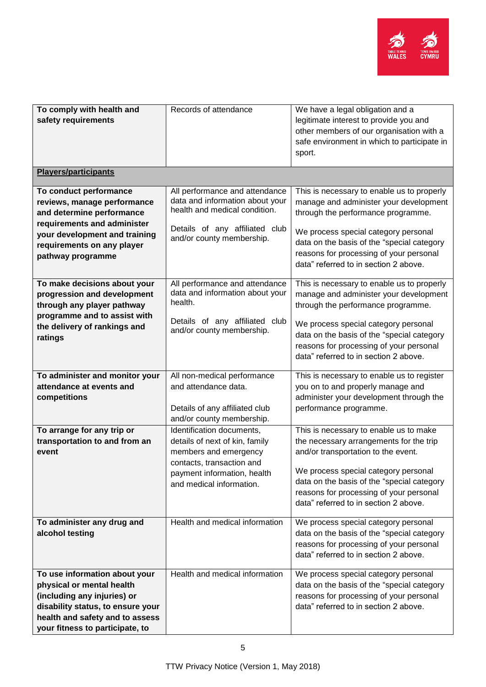

| To comply with health and<br>safety requirements | Records of attendance           | We have a legal obligation and a<br>legitimate interest to provide you and |
|--------------------------------------------------|---------------------------------|----------------------------------------------------------------------------|
|                                                  |                                 | other members of our organisation with a                                   |
|                                                  |                                 | safe environment in which to participate in                                |
|                                                  |                                 | sport.                                                                     |
|                                                  |                                 |                                                                            |
| <b>Players/participants</b>                      |                                 |                                                                            |
| To conduct performance                           | All performance and attendance  | This is necessary to enable us to properly                                 |
| reviews, manage performance                      | data and information about your | manage and administer your development                                     |
| and determine performance                        | health and medical condition.   | through the performance programme.                                         |
| requirements and administer                      | Details of any affiliated club  |                                                                            |
| your development and training                    | and/or county membership.       | We process special category personal                                       |
| requirements on any player                       |                                 | data on the basis of the "special category                                 |
| pathway programme                                |                                 | reasons for processing of your personal                                    |
|                                                  |                                 | data" referred to in section 2 above.                                      |
| To make decisions about your                     | All performance and attendance  | This is necessary to enable us to properly                                 |
| progression and development                      | data and information about your | manage and administer your development                                     |
| through any player pathway                       | health.                         | through the performance programme.                                         |
| programme and to assist with                     |                                 |                                                                            |
| the delivery of rankings and                     | Details of any affiliated club  | We process special category personal                                       |
| ratings                                          | and/or county membership.       | data on the basis of the "special category                                 |
|                                                  |                                 | reasons for processing of your personal                                    |
|                                                  |                                 | data" referred to in section 2 above.                                      |
|                                                  |                                 |                                                                            |
| To administer and monitor your                   | All non-medical performance     | This is necessary to enable us to register                                 |
| attendance at events and                         | and attendance data.            | you on to and properly manage and                                          |
| competitions                                     |                                 | administer your development through the                                    |
|                                                  | Details of any affiliated club  | performance programme.                                                     |
|                                                  | and/or county membership.       |                                                                            |
| To arrange for any trip or                       | Identification documents,       | This is necessary to enable us to make                                     |
| transportation to and from an                    | details of next of kin, family  | the necessary arrangements for the trip                                    |
| event                                            | members and emergency           | and/or transportation to the event.                                        |
|                                                  | contacts, transaction and       | We process special category personal                                       |
|                                                  | payment information, health     | data on the basis of the "special category                                 |
|                                                  | and medical information.        | reasons for processing of your personal                                    |
|                                                  |                                 | data" referred to in section 2 above.                                      |
|                                                  |                                 |                                                                            |
| To administer any drug and                       | Health and medical information  | We process special category personal                                       |
| alcohol testing                                  |                                 | data on the basis of the "special category                                 |
|                                                  |                                 | reasons for processing of your personal                                    |
|                                                  |                                 | data" referred to in section 2 above.                                      |
|                                                  |                                 |                                                                            |
| To use information about your                    | Health and medical information  | We process special category personal                                       |
| physical or mental health                        |                                 | data on the basis of the "special category                                 |
| (including any injuries) or                      |                                 | reasons for processing of your personal                                    |
| disability status, to ensure your                |                                 | data" referred to in section 2 above.                                      |
| health and safety and to assess                  |                                 |                                                                            |
| your fitness to participate, to                  |                                 |                                                                            |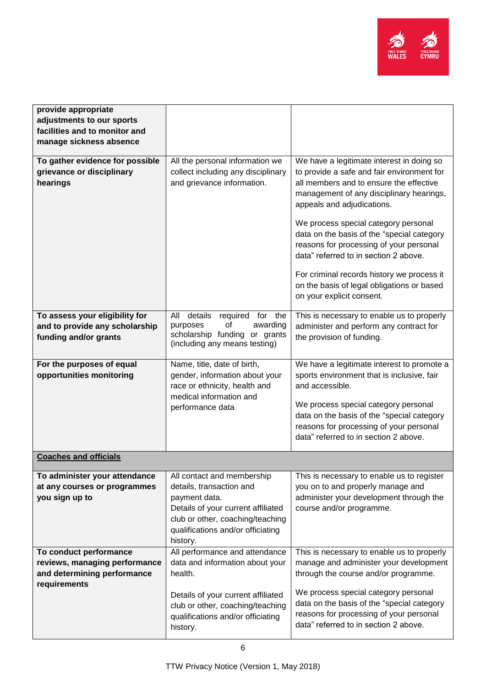

| provide appropriate                                                      |                                                                                                                         |                                                                                                                                                                                |
|--------------------------------------------------------------------------|-------------------------------------------------------------------------------------------------------------------------|--------------------------------------------------------------------------------------------------------------------------------------------------------------------------------|
| adjustments to our sports                                                |                                                                                                                         |                                                                                                                                                                                |
| facilities and to monitor and                                            |                                                                                                                         |                                                                                                                                                                                |
| manage sickness absence                                                  |                                                                                                                         |                                                                                                                                                                                |
|                                                                          |                                                                                                                         |                                                                                                                                                                                |
| To gather evidence for possible<br>grievance or disciplinary<br>hearings | All the personal information we<br>collect including any disciplinary<br>and grievance information.                     | We have a legitimate interest in doing so<br>to provide a safe and fair environment for<br>all members and to ensure the effective<br>management of any disciplinary hearings, |
|                                                                          |                                                                                                                         | appeals and adjudications.                                                                                                                                                     |
|                                                                          |                                                                                                                         | We process special category personal<br>data on the basis of the "special category<br>reasons for processing of your personal<br>data" referred to in section 2 above.         |
|                                                                          |                                                                                                                         | For criminal records history we process it<br>on the basis of legal obligations or based<br>on your explicit consent.                                                          |
| To assess your eligibility for                                           | details<br>All<br>required<br>for the                                                                                   | This is necessary to enable us to properly                                                                                                                                     |
| and to provide any scholarship                                           | of<br>awarding<br>purposes                                                                                              | administer and perform any contract for                                                                                                                                        |
| funding and/or grants                                                    | scholarship funding or grants<br>(including any means testing)                                                          | the provision of funding.                                                                                                                                                      |
|                                                                          |                                                                                                                         |                                                                                                                                                                                |
| For the purposes of equal                                                | Name, title, date of birth,                                                                                             | We have a legitimate interest to promote a                                                                                                                                     |
| opportunities monitoring                                                 | gender, information about your                                                                                          | sports environment that is inclusive, fair                                                                                                                                     |
|                                                                          | race or ethnicity, health and                                                                                           | and accessible.                                                                                                                                                                |
|                                                                          | medical information and                                                                                                 |                                                                                                                                                                                |
|                                                                          | performance data                                                                                                        | We process special category personal                                                                                                                                           |
|                                                                          |                                                                                                                         | data on the basis of the "special category                                                                                                                                     |
|                                                                          |                                                                                                                         | reasons for processing of your personal                                                                                                                                        |
|                                                                          |                                                                                                                         | data" referred to in section 2 above.                                                                                                                                          |
| <b>Coaches and officials</b>                                             |                                                                                                                         |                                                                                                                                                                                |
|                                                                          |                                                                                                                         |                                                                                                                                                                                |
| To administer your attendance                                            | All contact and membership                                                                                              | This is necessary to enable us to register                                                                                                                                     |
| at any courses or programmes                                             | details, transaction and                                                                                                | you on to and properly manage and                                                                                                                                              |
| you sign up to                                                           | payment data.                                                                                                           | administer your development through the                                                                                                                                        |
|                                                                          | Details of your current affiliated                                                                                      | course and/or programme.                                                                                                                                                       |
|                                                                          | club or other, coaching/teaching                                                                                        |                                                                                                                                                                                |
|                                                                          | qualifications and/or officiating                                                                                       |                                                                                                                                                                                |
| To conduct performance                                                   | history.<br>All performance and attendance                                                                              | This is necessary to enable us to properly                                                                                                                                     |
| reviews, managing performance                                            | data and information about your                                                                                         | manage and administer your development                                                                                                                                         |
| and determining performance                                              | health.                                                                                                                 | through the course and/or programme.                                                                                                                                           |
| requirements                                                             |                                                                                                                         |                                                                                                                                                                                |
|                                                                          | Details of your current affiliated<br>club or other, coaching/teaching<br>qualifications and/or officiating<br>history. | We process special category personal<br>data on the basis of the "special category<br>reasons for processing of your personal<br>data" referred to in section 2 above.         |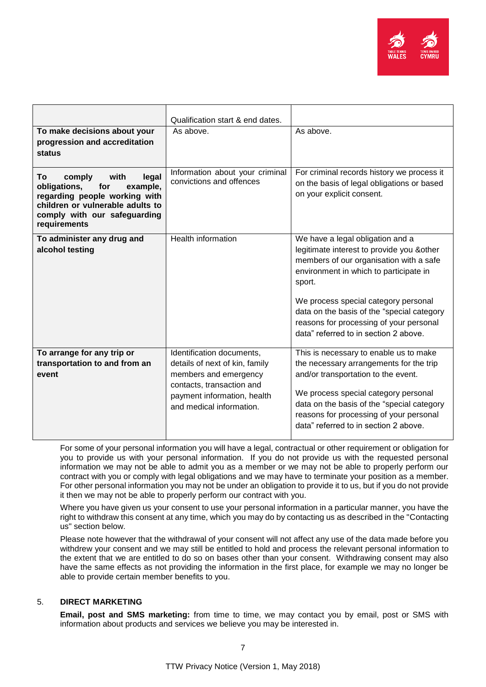

|                                                                                                                                                                                       | Qualification start & end dates.                                                                                                                                             |                                                                                                                                                                                                                                                                                                                                                         |
|---------------------------------------------------------------------------------------------------------------------------------------------------------------------------------------|------------------------------------------------------------------------------------------------------------------------------------------------------------------------------|---------------------------------------------------------------------------------------------------------------------------------------------------------------------------------------------------------------------------------------------------------------------------------------------------------------------------------------------------------|
| To make decisions about your<br>progression and accreditation<br><b>status</b>                                                                                                        | As above.                                                                                                                                                                    | As above.                                                                                                                                                                                                                                                                                                                                               |
| comply<br>with<br>legal<br>Τo<br>obligations,<br>example,<br>for<br>regarding people working with<br>children or vulnerable adults to<br>comply with our safeguarding<br>requirements | Information about your criminal<br>convictions and offences                                                                                                                  | For criminal records history we process it<br>on the basis of legal obligations or based<br>on your explicit consent.                                                                                                                                                                                                                                   |
| To administer any drug and<br>alcohol testing                                                                                                                                         | <b>Health information</b>                                                                                                                                                    | We have a legal obligation and a<br>legitimate interest to provide you & other<br>members of our organisation with a safe<br>environment in which to participate in<br>sport.<br>We process special category personal<br>data on the basis of the "special category<br>reasons for processing of your personal<br>data" referred to in section 2 above. |
| To arrange for any trip or<br>transportation to and from an<br>event                                                                                                                  | Identification documents,<br>details of next of kin, family<br>members and emergency<br>contacts, transaction and<br>payment information, health<br>and medical information. | This is necessary to enable us to make<br>the necessary arrangements for the trip<br>and/or transportation to the event.<br>We process special category personal<br>data on the basis of the "special category<br>reasons for processing of your personal<br>data" referred to in section 2 above.                                                      |

For some of your personal information you will have a legal, contractual or other requirement or obligation for you to provide us with your personal information. If you do not provide us with the requested personal information we may not be able to admit you as a member or we may not be able to properly perform our contract with you or comply with legal obligations and we may have to terminate your position as a member. For other personal information you may not be under an obligation to provide it to us, but if you do not provide it then we may not be able to properly perform our contract with you.

Where you have given us your consent to use your personal information in a particular manner, you have the right to withdraw this consent at any time, which you may do by contacting us as described in the "Contacting us" section below.

Please note however that the withdrawal of your consent will not affect any use of the data made before you withdrew your consent and we may still be entitled to hold and process the relevant personal information to the extent that we are entitled to do so on bases other than your consent. Withdrawing consent may also have the same effects as not providing the information in the first place, for example we may no longer be able to provide certain member benefits to you.

# 5. **DIRECT MARKETING**

**Email, post and SMS marketing:** from time to time, we may contact you by email, post or SMS with information about products and services we believe you may be interested in.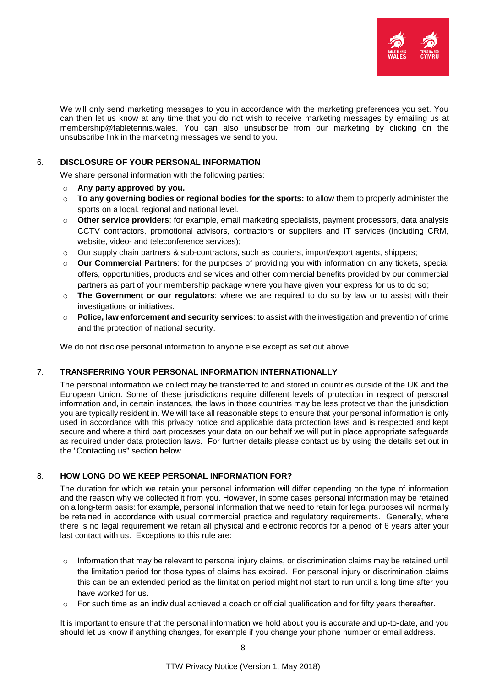

We will only send marketing messages to you in accordance with the marketing preferences you set. You can then let us know at any time that you do not wish to receive marketing messages by emailing us at membership@tabletennis.wales. You can also unsubscribe from our marketing by clicking on the unsubscribe link in the marketing messages we send to you.

## 6. **DISCLOSURE OF YOUR PERSONAL INFORMATION**

We share personal information with the following parties:

- o **Any party approved by you.**
- o **To any governing bodies or regional bodies for the sports:** to allow them to properly administer the sports on a local, regional and national level.
- o **Other service providers**: for example, email marketing specialists, payment processors, data analysis CCTV contractors, promotional advisors, contractors or suppliers and IT services (including CRM, website, video- and teleconference services);
- o Our supply chain partners & sub-contractors, such as couriers, import/export agents, shippers;
- o **Our Commercial Partners**: for the purposes of providing you with information on any tickets, special offers, opportunities, products and services and other commercial benefits provided by our commercial partners as part of your membership package where you have given your express for us to do so;
- o **The Government or our regulators**: where we are required to do so by law or to assist with their investigations or initiatives.
- o **Police, law enforcement and security services**: to assist with the investigation and prevention of crime and the protection of national security.

We do not disclose personal information to anyone else except as set out above.

## 7. **TRANSFERRING YOUR PERSONAL INFORMATION INTERNATIONALLY**

The personal information we collect may be transferred to and stored in countries outside of the UK and the European Union. Some of these jurisdictions require different levels of protection in respect of personal information and, in certain instances, the laws in those countries may be less protective than the jurisdiction you are typically resident in. We will take all reasonable steps to ensure that your personal information is only used in accordance with this privacy notice and applicable data protection laws and is respected and kept secure and where a third part processes your data on our behalf we will put in place appropriate safeguards as required under data protection laws. For further details please contact us by using the details set out in the "Contacting us" section below.

## 8. **HOW LONG DO WE KEEP PERSONAL INFORMATION FOR?**

The duration for which we retain your personal information will differ depending on the type of information and the reason why we collected it from you. However, in some cases personal information may be retained on a long-term basis: for example, personal information that we need to retain for legal purposes will normally be retained in accordance with usual commercial practice and regulatory requirements. Generally, where there is no legal requirement we retain all physical and electronic records for a period of 6 years after your last contact with us. Exceptions to this rule are:

- $\circ$  Information that may be relevant to personal injury claims, or discrimination claims may be retained until the limitation period for those types of claims has expired. For personal injury or discrimination claims this can be an extended period as the limitation period might not start to run until a long time after you have worked for us.
- $\circ$  For such time as an individual achieved a coach or official qualification and for fifty years thereafter.

It is important to ensure that the personal information we hold about you is accurate and up-to-date, and you should let us know if anything changes, for example if you change your phone number or email address.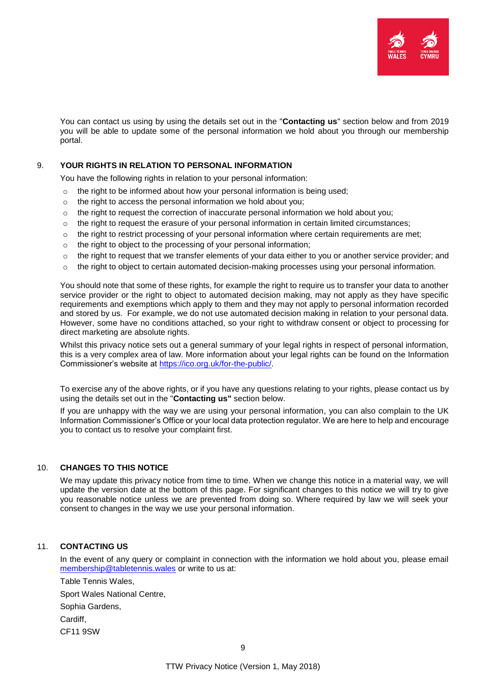

You can contact us using by using the details set out in the "**Contacting us**" section below and from 2019 you will be able to update some of the personal information we hold about you through our membership portal.

## 9. **YOUR RIGHTS IN RELATION TO PERSONAL INFORMATION**

You have the following rights in relation to your personal information:

- o the right to be informed about how your personal information is being used;
- o the right to access the personal information we hold about you;
- $\circ$  the right to request the correction of inaccurate personal information we hold about you;
- $\circ$  the right to request the erasure of your personal information in certain limited circumstances;
- $\circ$  the right to restrict processing of your personal information where certain requirements are met;
- o the right to object to the processing of your personal information;
- $\circ$  the right to request that we transfer elements of your data either to you or another service provider; and
- $\circ$  the right to object to certain automated decision-making processes using your personal information.

You should note that some of these rights, for example the right to require us to transfer your data to another service provider or the right to object to automated decision making, may not apply as they have specific requirements and exemptions which apply to them and they may not apply to personal information recorded and stored by us. For example, we do not use automated decision making in relation to your personal data. However, some have no conditions attached, so your right to withdraw consent or object to processing for direct marketing are absolute rights.

Whilst this privacy notice sets out a general summary of your legal rights in respect of personal information, this is a very complex area of law. More information about your legal rights can be found on the Information Commissioner's website at [https://ico.org.uk/for-the-public/.](https://ico.org.uk/for-the-public/)

To exercise any of the above rights, or if you have any questions relating to your rights, please contact us by using the details set out in the "**Contacting us"** section below.

If you are unhappy with the way we are using your personal information, you can also complain to the UK Information Commissioner's Office or your local data protection regulator. We are here to help and encourage you to contact us to resolve your complaint first.

### 10. **CHANGES TO THIS NOTICE**

We may update this privacy notice from time to time. When we change this notice in a material way, we will update the version date at the bottom of this page. For significant changes to this notice we will try to give you reasonable notice unless we are prevented from doing so. Where required by law we will seek your consent to changes in the way we use your personal information.

### 11. **CONTACTING US**

In the event of any query or complaint in connection with the information we hold about you, please email [membership@tabletennis.wales](mailto:membership@tabletennis.wales) or write to us at:

Table Tennis Wales, Sport Wales National Centre, Sophia Gardens, Cardiff, CF11 9SW